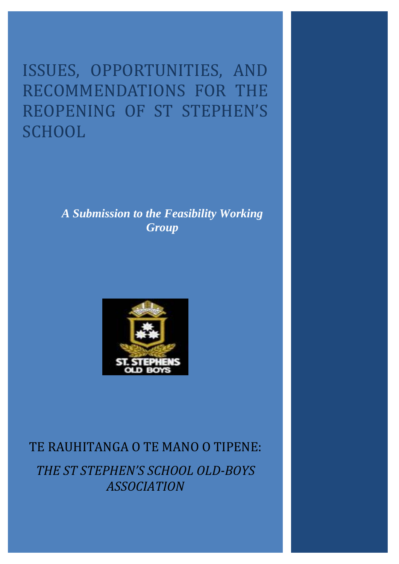ISSUES, OPPORTUNITIES, AND RECOMMENDATIONS FOR THE REOPENING OF ST STEPHEN'S **SCHOOL** 

> *A Submission to the Feasibility Working Group*



# TE RAUHITANGA O TE MANO O TIPENE: *THE ST STEPHEN'S SCHOOL OLD-BOYS ASSOCIATION*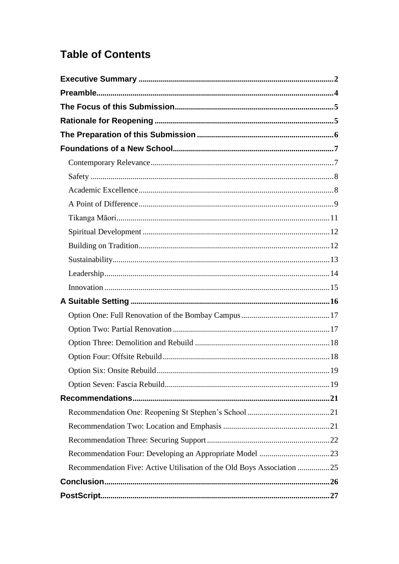# **Table of Contents**

| Recommendation Five: Active Utilisation of the Old Boys Association 25 |  |
|------------------------------------------------------------------------|--|
|                                                                        |  |
|                                                                        |  |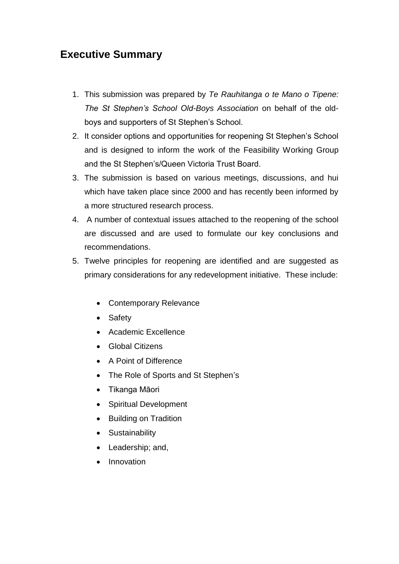# <span id="page-2-0"></span>**Executive Summary**

- 1. This submission was prepared by *Te Rauhitanga o te Mano o Tipene: The St Stephen's School Old-Boys Association* on behalf of the oldboys and supporters of St Stephen"s School.
- 2. It consider options and opportunities for reopening St Stephen"s School and is designed to inform the work of the Feasibility Working Group and the St Stephen"s/Queen Victoria Trust Board.
- 3. The submission is based on various meetings, discussions, and hui which have taken place since 2000 and has recently been informed by a more structured research process.
- 4. A number of contextual issues attached to the reopening of the school are discussed and are used to formulate our key conclusions and recommendations.
- 5. Twelve principles for reopening are identified and are suggested as primary considerations for any redevelopment initiative. These include:
	- Contemporary Relevance
	- Safety
	- Academic Excellence
	- Global Citizens
	- A Point of Difference
	- The Role of Sports and St Stephen's
	- Tikanga Māori
	- Spiritual Development
	- Building on Tradition
	- **•** Sustainability
	- Leadership; and,
	- Innovation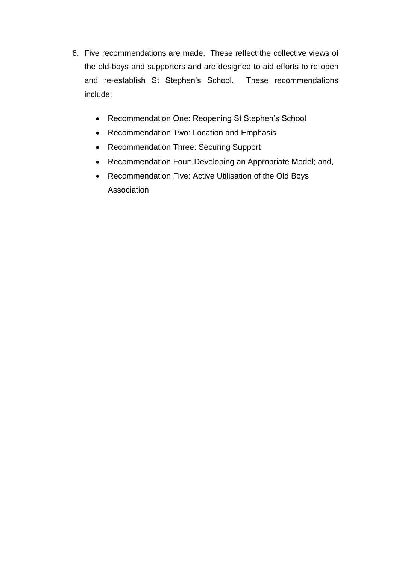- 6. Five recommendations are made. These reflect the collective views of the old-boys and supporters and are designed to aid efforts to re-open and re-establish St Stephen"s School. These recommendations include;
	- Recommendation One: Reopening St Stephen's School
	- Recommendation Two: Location and Emphasis
	- Recommendation Three: Securing Support
	- Recommendation Four: Developing an Appropriate Model; and,
	- Recommendation Five: Active Utilisation of the Old Boys **Association**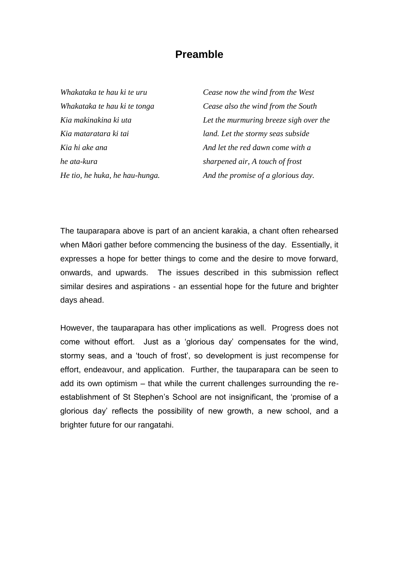### **Preamble**

<span id="page-4-0"></span>*Whakataka te hau ki te uru Whakataka te hau ki te tonga Kia makinakina ki uta Kia mataratara ki tai Kia hi ake ana he ata-kura He tio, he huka, he hau-hunga.*

*Cease now the wind from the West Cease also the wind from the South Let the murmuring breeze sigh over the land. Let the stormy seas subside And let the red dawn come with a sharpened air, A touch of frost And the promise of a glorious day.*

The tauparapara above is part of an ancient karakia, a chant often rehearsed when Māori gather before commencing the business of the day. Essentially, it expresses a hope for better things to come and the desire to move forward, onwards, and upwards. The issues described in this submission reflect similar desires and aspirations - an essential hope for the future and brighter days ahead.

However, the tauparapara has other implications as well. Progress does not come without effort. Just as a "glorious day" compensates for the wind, stormy seas, and a 'touch of frost', so development is just recompense for effort, endeavour, and application. Further, the tauparapara can be seen to add its own optimism – that while the current challenges surrounding the reestablishment of St Stephen"s School are not insignificant, the "promise of a glorious day" reflects the possibility of new growth, a new school, and a brighter future for our rangatahi.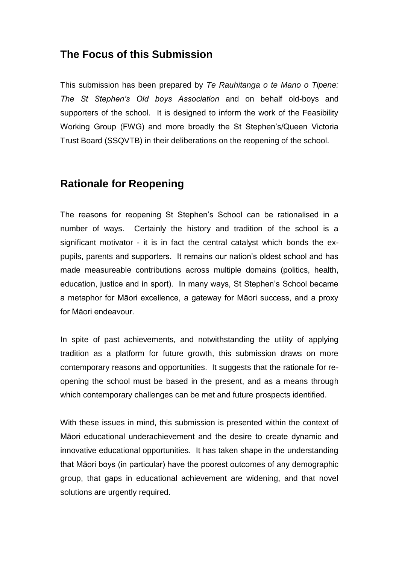## <span id="page-5-0"></span>**The Focus of this Submission**

This submission has been prepared by *Te Rauhitanga o te Mano o Tipene: The St Stephen's Old boys Association* and on behalf old-boys and supporters of the school. It is designed to inform the work of the Feasibility Working Group (FWG) and more broadly the St Stephen"s/Queen Victoria Trust Board (SSQVTB) in their deliberations on the reopening of the school.

# <span id="page-5-1"></span>**Rationale for Reopening**

The reasons for reopening St Stephen"s School can be rationalised in a number of ways. Certainly the history and tradition of the school is a significant motivator - it is in fact the central catalyst which bonds the expupils, parents and supporters. It remains our nation"s oldest school and has made measureable contributions across multiple domains (politics, health, education, justice and in sport). In many ways, St Stephen"s School became a metaphor for Māori excellence, a gateway for Māori success, and a proxy for Māori endeavour.

In spite of past achievements, and notwithstanding the utility of applying tradition as a platform for future growth, this submission draws on more contemporary reasons and opportunities. It suggests that the rationale for reopening the school must be based in the present, and as a means through which contemporary challenges can be met and future prospects identified.

With these issues in mind, this submission is presented within the context of Māori educational underachievement and the desire to create dynamic and innovative educational opportunities. It has taken shape in the understanding that Māori boys (in particular) have the poorest outcomes of any demographic group, that gaps in educational achievement are widening, and that novel solutions are urgently required.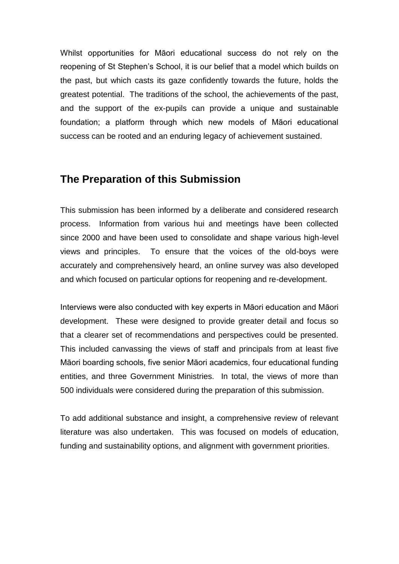Whilst opportunities for Māori educational success do not rely on the reopening of St Stephen"s School, it is our belief that a model which builds on the past, but which casts its gaze confidently towards the future, holds the greatest potential. The traditions of the school, the achievements of the past, and the support of the ex-pupils can provide a unique and sustainable foundation; a platform through which new models of Māori educational success can be rooted and an enduring legacy of achievement sustained.

## <span id="page-6-0"></span>**The Preparation of this Submission**

This submission has been informed by a deliberate and considered research process. Information from various hui and meetings have been collected since 2000 and have been used to consolidate and shape various high-level views and principles. To ensure that the voices of the old-boys were accurately and comprehensively heard, an online survey was also developed and which focused on particular options for reopening and re-development.

Interviews were also conducted with key experts in Māori education and Māori development. These were designed to provide greater detail and focus so that a clearer set of recommendations and perspectives could be presented. This included canvassing the views of staff and principals from at least five Māori boarding schools, five senior Māori academics, four educational funding entities, and three Government Ministries. In total, the views of more than 500 individuals were considered during the preparation of this submission.

To add additional substance and insight, a comprehensive review of relevant literature was also undertaken. This was focused on models of education, funding and sustainability options, and alignment with government priorities.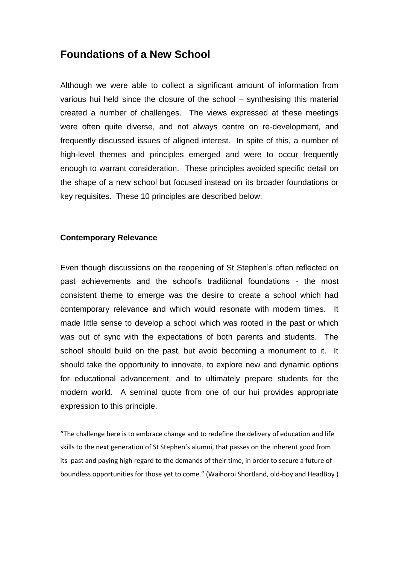### <span id="page-7-0"></span>**Foundations of a New School**

Although we were able to collect a significant amount of information from various hui held since the closure of the school – synthesising this material created a number of challenges. The views expressed at these meetings were often quite diverse, and not always centre on re-development, and frequently discussed issues of aligned interest. In spite of this, a number of high-level themes and principles emerged and were to occur frequently enough to warrant consideration. These principles avoided specific detail on the shape of a new school but focused instead on its broader foundations or key requisites. These 10 principles are described below:

#### <span id="page-7-1"></span>**Contemporary Relevance**

Even though discussions on the reopening of St Stephen"s often reflected on past achievements and the school"s traditional foundations - the most consistent theme to emerge was the desire to create a school which had contemporary relevance and which would resonate with modern times. It made little sense to develop a school which was rooted in the past or which was out of sync with the expectations of both parents and students. The school should build on the past, but avoid becoming a monument to it. It should take the opportunity to innovate, to explore new and dynamic options for educational advancement, and to ultimately prepare students for the modern world. A seminal quote from one of our hui provides appropriate expression to this principle.

"The challenge here is to embrace change and to redefine the delivery of education and life skills to the next generation of St Stephen's alumni, that passes on the inherent good from its past and paying high regard to the demands of their time, in order to secure a future of boundless opportunities for those yet to come." (Waihoroi Shortland, old-boy and HeadBoy )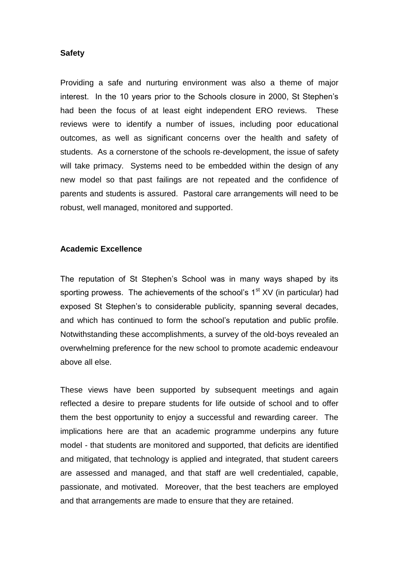#### <span id="page-8-0"></span>**Safety**

Providing a safe and nurturing environment was also a theme of major interest. In the 10 years prior to the Schools closure in 2000, St Stephen"s had been the focus of at least eight independent ERO reviews. These reviews were to identify a number of issues, including poor educational outcomes, as well as significant concerns over the health and safety of students. As a cornerstone of the schools re-development, the issue of safety will take primacy. Systems need to be embedded within the design of any new model so that past failings are not repeated and the confidence of parents and students is assured. Pastoral care arrangements will need to be robust, well managed, monitored and supported.

#### <span id="page-8-1"></span>**Academic Excellence**

The reputation of St Stephen"s School was in many ways shaped by its sporting prowess. The achievements of the school's  $1<sup>st</sup> XY$  (in particular) had exposed St Stephen"s to considerable publicity, spanning several decades, and which has continued to form the school"s reputation and public profile. Notwithstanding these accomplishments, a survey of the old-boys revealed an overwhelming preference for the new school to promote academic endeavour above all else.

These views have been supported by subsequent meetings and again reflected a desire to prepare students for life outside of school and to offer them the best opportunity to enjoy a successful and rewarding career. The implications here are that an academic programme underpins any future model - that students are monitored and supported, that deficits are identified and mitigated, that technology is applied and integrated, that student careers are assessed and managed, and that staff are well credentialed, capable, passionate, and motivated. Moreover, that the best teachers are employed and that arrangements are made to ensure that they are retained.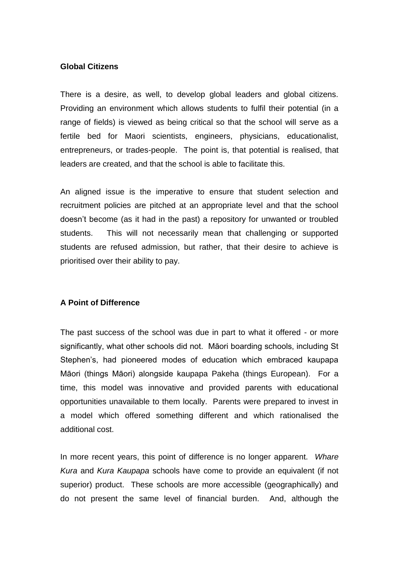#### **Global Citizens**

There is a desire, as well, to develop global leaders and global citizens. Providing an environment which allows students to fulfil their potential (in a range of fields) is viewed as being critical so that the school will serve as a fertile bed for Maori scientists, engineers, physicians, educationalist, entrepreneurs, or trades-people. The point is, that potential is realised, that leaders are created, and that the school is able to facilitate this.

An aligned issue is the imperative to ensure that student selection and recruitment policies are pitched at an appropriate level and that the school doesn"t become (as it had in the past) a repository for unwanted or troubled students. This will not necessarily mean that challenging or supported students are refused admission, but rather, that their desire to achieve is prioritised over their ability to pay.

#### <span id="page-9-0"></span>**A Point of Difference**

The past success of the school was due in part to what it offered - or more significantly, what other schools did not. Māori boarding schools, including St Stephen's, had pioneered modes of education which embraced kaupapa Māori (things Māori) alongside kaupapa Pakeha (things European). For a time, this model was innovative and provided parents with educational opportunities unavailable to them locally. Parents were prepared to invest in a model which offered something different and which rationalised the additional cost.

In more recent years, this point of difference is no longer apparent. *Whare Kura* and *Kura Kaupapa* schools have come to provide an equivalent (if not superior) product. These schools are more accessible (geographically) and do not present the same level of financial burden. And, although the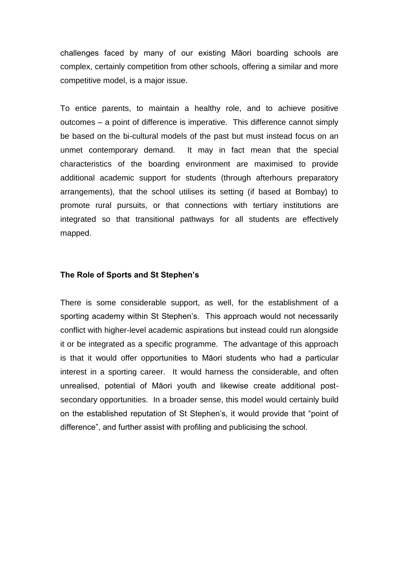challenges faced by many of our existing Māori boarding schools are complex, certainly competition from other schools, offering a similar and more competitive model, is a major issue.

To entice parents, to maintain a healthy role, and to achieve positive outcomes – a point of difference is imperative. This difference cannot simply be based on the bi-cultural models of the past but must instead focus on an unmet contemporary demand. It may in fact mean that the special characteristics of the boarding environment are maximised to provide additional academic support for students (through afterhours preparatory arrangements), that the school utilises its setting (if based at Bombay) to promote rural pursuits, or that connections with tertiary institutions are integrated so that transitional pathways for all students are effectively mapped.

#### **The Role of Sports and St Stephen's**

There is some considerable support, as well, for the establishment of a sporting academy within St Stephen's. This approach would not necessarily conflict with higher-level academic aspirations but instead could run alongside it or be integrated as a specific programme. The advantage of this approach is that it would offer opportunities to Māori students who had a particular interest in a sporting career. It would harness the considerable, and often unrealised, potential of Māori youth and likewise create additional postsecondary opportunities. In a broader sense, this model would certainly build on the established reputation of St Stephen"s, it would provide that "point of difference", and further assist with profiling and publicising the school.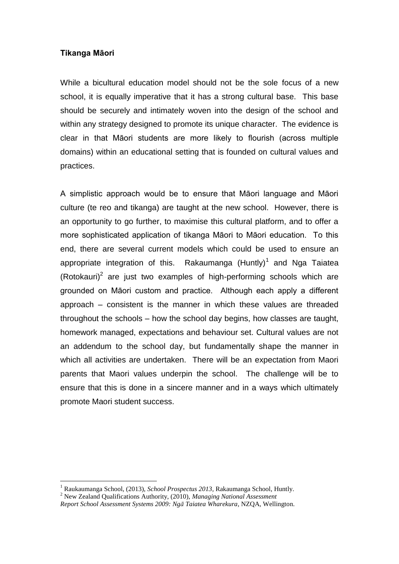#### <span id="page-11-0"></span>**Tikanga Māori**

1

While a bicultural education model should not be the sole focus of a new school, it is equally imperative that it has a strong cultural base. This base should be securely and intimately woven into the design of the school and within any strategy designed to promote its unique character. The evidence is clear in that Māori students are more likely to flourish (across multiple domains) within an educational setting that is founded on cultural values and practices.

A simplistic approach would be to ensure that Māori language and Māori culture (te reo and tikanga) are taught at the new school. However, there is an opportunity to go further, to maximise this cultural platform, and to offer a more sophisticated application of tikanga Māori to Māori education. To this end, there are several current models which could be used to ensure an appropriate integration of this. Rakaumanga  $(Huntly)^1$  and Nga Taiatea (Rotokauri)<sup>2</sup> are just two examples of high-performing schools which are grounded on Māori custom and practice. Although each apply a different approach – consistent is the manner in which these values are threaded throughout the schools – how the school day begins, how classes are taught, homework managed, expectations and behaviour set. Cultural values are not an addendum to the school day, but fundamentally shape the manner in which all activities are undertaken. There will be an expectation from Maori parents that Maori values underpin the school. The challenge will be to ensure that this is done in a sincere manner and in a ways which ultimately promote Maori student success.

<sup>1</sup> Raukaumanga School, (2013), *School Prospectus 2013,* Rakaumanga School, Huntly.

<sup>2</sup> New Zealand Qualifications Authority, (2010), *Managing National Assessment*

*Report School Assessment Systems 2009: Ngā Taiatea Wharekura*, NZQA, Wellington.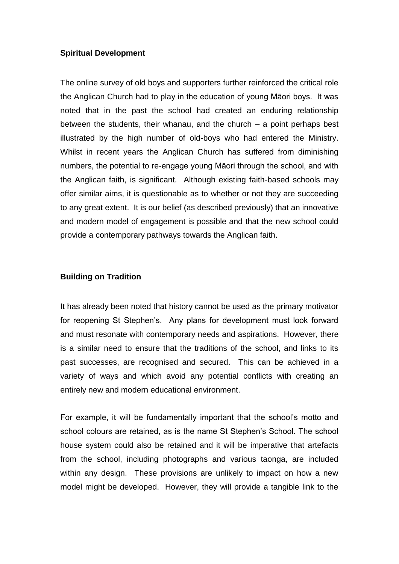#### <span id="page-12-0"></span>**Spiritual Development**

The online survey of old boys and supporters further reinforced the critical role the Anglican Church had to play in the education of young Māori boys. It was noted that in the past the school had created an enduring relationship between the students, their whanau, and the church – a point perhaps best illustrated by the high number of old-boys who had entered the Ministry. Whilst in recent years the Anglican Church has suffered from diminishing numbers, the potential to re-engage young Māori through the school, and with the Anglican faith, is significant. Although existing faith-based schools may offer similar aims, it is questionable as to whether or not they are succeeding to any great extent. It is our belief (as described previously) that an innovative and modern model of engagement is possible and that the new school could provide a contemporary pathways towards the Anglican faith.

#### <span id="page-12-1"></span>**Building on Tradition**

It has already been noted that history cannot be used as the primary motivator for reopening St Stephen"s. Any plans for development must look forward and must resonate with contemporary needs and aspirations. However, there is a similar need to ensure that the traditions of the school, and links to its past successes, are recognised and secured. This can be achieved in a variety of ways and which avoid any potential conflicts with creating an entirely new and modern educational environment.

For example, it will be fundamentally important that the school"s motto and school colours are retained, as is the name St Stephen"s School. The school house system could also be retained and it will be imperative that artefacts from the school, including photographs and various taonga, are included within any design. These provisions are unlikely to impact on how a new model might be developed. However, they will provide a tangible link to the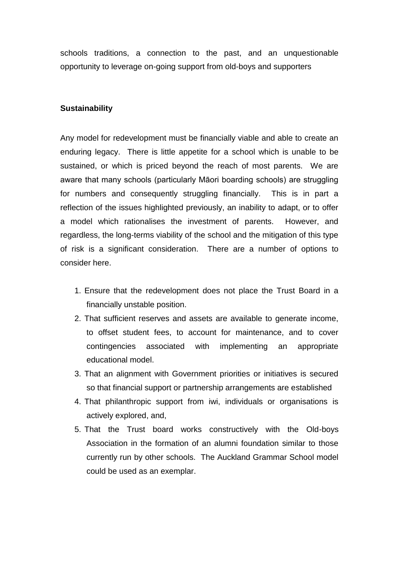schools traditions, a connection to the past, and an unquestionable opportunity to leverage on-going support from old-boys and supporters

#### <span id="page-13-0"></span>**Sustainability**

Any model for redevelopment must be financially viable and able to create an enduring legacy. There is little appetite for a school which is unable to be sustained, or which is priced beyond the reach of most parents. We are aware that many schools (particularly Māori boarding schools) are struggling for numbers and consequently struggling financially. This is in part a reflection of the issues highlighted previously, an inability to adapt, or to offer a model which rationalises the investment of parents. However, and regardless, the long-terms viability of the school and the mitigation of this type of risk is a significant consideration. There are a number of options to consider here.

- 1. Ensure that the redevelopment does not place the Trust Board in a financially unstable position.
- 2. That sufficient reserves and assets are available to generate income, to offset student fees, to account for maintenance, and to cover contingencies associated with implementing an appropriate educational model.
- 3. That an alignment with Government priorities or initiatives is secured so that financial support or partnership arrangements are established
- 4. That philanthropic support from iwi, individuals or organisations is actively explored, and,
- 5. That the Trust board works constructively with the Old-boys Association in the formation of an alumni foundation similar to those currently run by other schools. The Auckland Grammar School model could be used as an exemplar.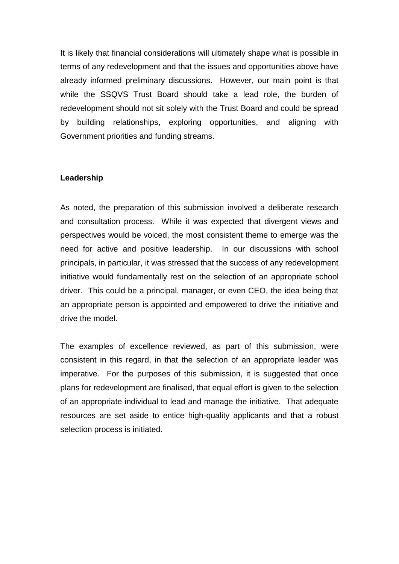It is likely that financial considerations will ultimately shape what is possible in terms of any redevelopment and that the issues and opportunities above have already informed preliminary discussions. However, our main point is that while the SSQVS Trust Board should take a lead role, the burden of redevelopment should not sit solely with the Trust Board and could be spread by building relationships, exploring opportunities, and aligning with Government priorities and funding streams.

#### <span id="page-14-0"></span>**Leadership**

As noted, the preparation of this submission involved a deliberate research and consultation process. While it was expected that divergent views and perspectives would be voiced, the most consistent theme to emerge was the need for active and positive leadership. In our discussions with school principals, in particular, it was stressed that the success of any redevelopment initiative would fundamentally rest on the selection of an appropriate school driver. This could be a principal, manager, or even CEO, the idea being that an appropriate person is appointed and empowered to drive the initiative and drive the model.

The examples of excellence reviewed, as part of this submission, were consistent in this regard, in that the selection of an appropriate leader was imperative. For the purposes of this submission, it is suggested that once plans for redevelopment are finalised, that equal effort is given to the selection of an appropriate individual to lead and manage the initiative. That adequate resources are set aside to entice high-quality applicants and that a robust selection process is initiated.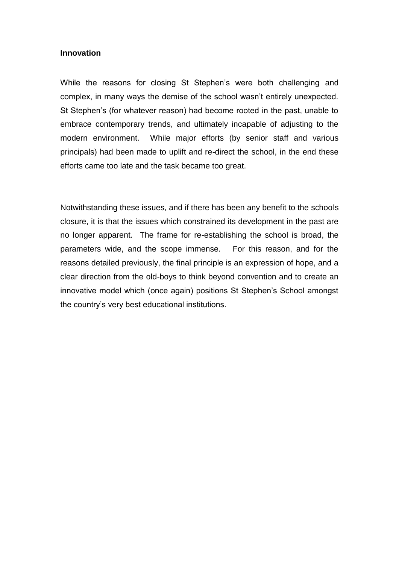#### <span id="page-15-0"></span>**Innovation**

While the reasons for closing St Stephen's were both challenging and complex, in many ways the demise of the school wasn"t entirely unexpected. St Stephen"s (for whatever reason) had become rooted in the past, unable to embrace contemporary trends, and ultimately incapable of adjusting to the modern environment. While major efforts (by senior staff and various principals) had been made to uplift and re-direct the school, in the end these efforts came too late and the task became too great.

Notwithstanding these issues, and if there has been any benefit to the schools closure, it is that the issues which constrained its development in the past are no longer apparent. The frame for re-establishing the school is broad, the parameters wide, and the scope immense. For this reason, and for the reasons detailed previously, the final principle is an expression of hope, and a clear direction from the old-boys to think beyond convention and to create an innovative model which (once again) positions St Stephen"s School amongst the country"s very best educational institutions.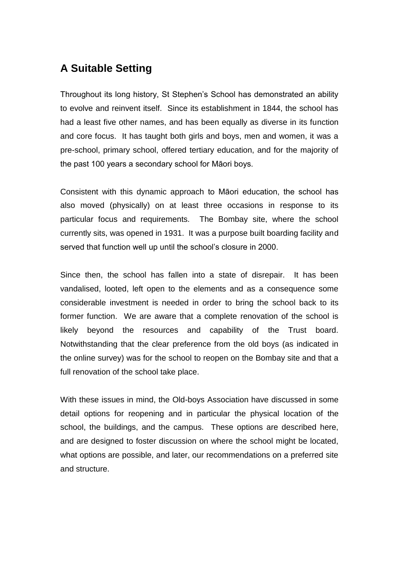# <span id="page-16-0"></span>**A Suitable Setting**

Throughout its long history, St Stephen"s School has demonstrated an ability to evolve and reinvent itself. Since its establishment in 1844, the school has had a least five other names, and has been equally as diverse in its function and core focus. It has taught both girls and boys, men and women, it was a pre-school, primary school, offered tertiary education, and for the majority of the past 100 years a secondary school for Māori boys.

Consistent with this dynamic approach to Māori education, the school has also moved (physically) on at least three occasions in response to its particular focus and requirements. The Bombay site, where the school currently sits, was opened in 1931. It was a purpose built boarding facility and served that function well up until the school"s closure in 2000.

Since then, the school has fallen into a state of disrepair. It has been vandalised, looted, left open to the elements and as a consequence some considerable investment is needed in order to bring the school back to its former function. We are aware that a complete renovation of the school is likely beyond the resources and capability of the Trust board. Notwithstanding that the clear preference from the old boys (as indicated in the online survey) was for the school to reopen on the Bombay site and that a full renovation of the school take place.

With these issues in mind, the Old-boys Association have discussed in some detail options for reopening and in particular the physical location of the school, the buildings, and the campus. These options are described here, and are designed to foster discussion on where the school might be located, what options are possible, and later, our recommendations on a preferred site and structure.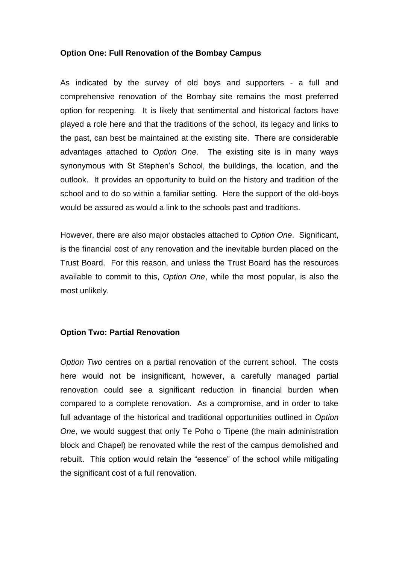#### <span id="page-17-0"></span>**Option One: Full Renovation of the Bombay Campus**

As indicated by the survey of old boys and supporters - a full and comprehensive renovation of the Bombay site remains the most preferred option for reopening. It is likely that sentimental and historical factors have played a role here and that the traditions of the school, its legacy and links to the past, can best be maintained at the existing site. There are considerable advantages attached to *Option One*. The existing site is in many ways synonymous with St Stephen's School, the buildings, the location, and the outlook. It provides an opportunity to build on the history and tradition of the school and to do so within a familiar setting. Here the support of the old-boys would be assured as would a link to the schools past and traditions.

However, there are also major obstacles attached to *Option One*. Significant, is the financial cost of any renovation and the inevitable burden placed on the Trust Board. For this reason, and unless the Trust Board has the resources available to commit to this, *Option One*, while the most popular, is also the most unlikely.

#### <span id="page-17-1"></span>**Option Two: Partial Renovation**

*Option Two* centres on a partial renovation of the current school. The costs here would not be insignificant, however, a carefully managed partial renovation could see a significant reduction in financial burden when compared to a complete renovation. As a compromise, and in order to take full advantage of the historical and traditional opportunities outlined in *Option One*, we would suggest that only Te Poho o Tipene (the main administration block and Chapel) be renovated while the rest of the campus demolished and rebuilt. This option would retain the "essence" of the school while mitigating the significant cost of a full renovation.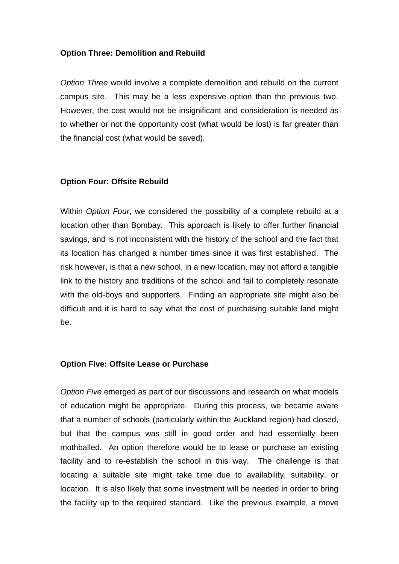#### <span id="page-18-0"></span>**Option Three: Demolition and Rebuild**

*Option Three* would involve a complete demolition and rebuild on the current campus site. This may be a less expensive option than the previous two. However, the cost would not be insignificant and consideration is needed as to whether or not the opportunity cost (what would be lost) is far greater than the financial cost (what would be saved).

#### <span id="page-18-1"></span>**Option Four: Offsite Rebuild**

Within *Option Four*, we considered the possibility of a complete rebuild at a location other than Bombay. This approach is likely to offer further financial savings, and is not inconsistent with the history of the school and the fact that its location has changed a number times since it was first established. The risk however, is that a new school, in a new location, may not afford a tangible link to the history and traditions of the school and fail to completely resonate with the old-boys and supporters. Finding an appropriate site might also be difficult and it is hard to say what the cost of purchasing suitable land might be.

#### **Option Five: Offsite Lease or Purchase**

*Option Five* emerged as part of our discussions and research on what models of education might be appropriate. During this process, we became aware that a number of schools (particularly within the Auckland region) had closed, but that the campus was still in good order and had essentially been mothballed. An option therefore would be to lease or purchase an existing facility and to re-establish the school in this way. The challenge is that locating a suitable site might take time due to availability, suitability, or location. It is also likely that some investment will be needed in order to bring the facility up to the required standard. Like the previous example, a move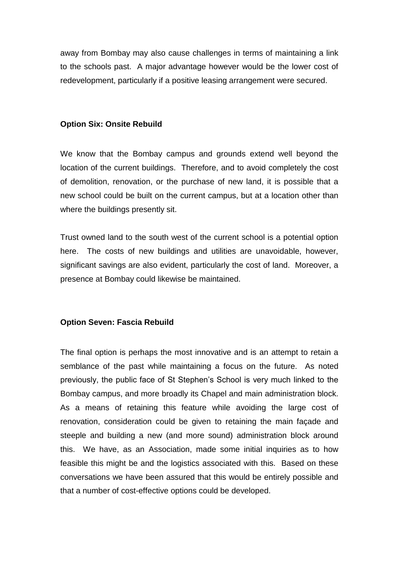away from Bombay may also cause challenges in terms of maintaining a link to the schools past. A major advantage however would be the lower cost of redevelopment, particularly if a positive leasing arrangement were secured.

#### <span id="page-19-0"></span>**Option Six: Onsite Rebuild**

We know that the Bombay campus and grounds extend well beyond the location of the current buildings. Therefore, and to avoid completely the cost of demolition, renovation, or the purchase of new land, it is possible that a new school could be built on the current campus, but at a location other than where the buildings presently sit.

Trust owned land to the south west of the current school is a potential option here. The costs of new buildings and utilities are unavoidable, however, significant savings are also evident, particularly the cost of land. Moreover, a presence at Bombay could likewise be maintained.

#### <span id="page-19-1"></span>**Option Seven: Fascia Rebuild**

The final option is perhaps the most innovative and is an attempt to retain a semblance of the past while maintaining a focus on the future. As noted previously, the public face of St Stephen"s School is very much linked to the Bombay campus, and more broadly its Chapel and main administration block. As a means of retaining this feature while avoiding the large cost of renovation, consideration could be given to retaining the main façade and steeple and building a new (and more sound) administration block around this. We have, as an Association, made some initial inquiries as to how feasible this might be and the logistics associated with this. Based on these conversations we have been assured that this would be entirely possible and that a number of cost-effective options could be developed.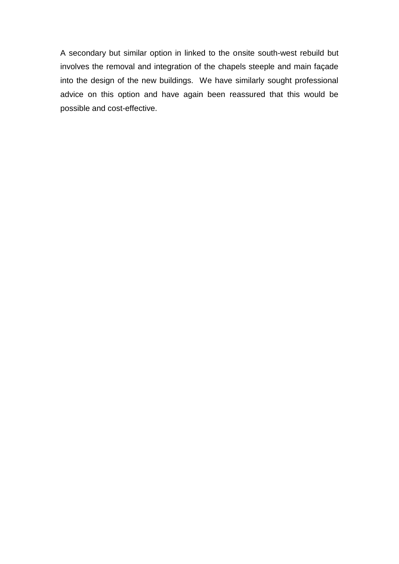A secondary but similar option in linked to the onsite south-west rebuild but involves the removal and integration of the chapels steeple and main façade into the design of the new buildings. We have similarly sought professional advice on this option and have again been reassured that this would be possible and cost-effective.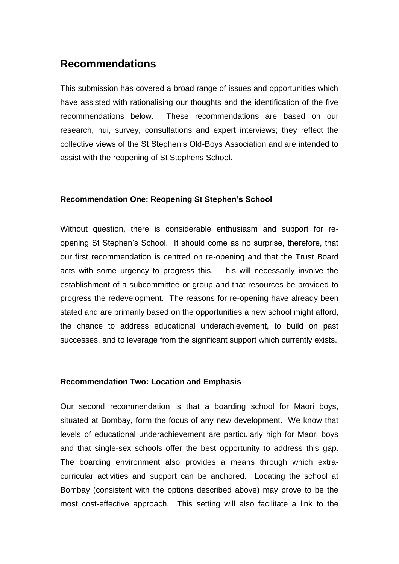### <span id="page-21-0"></span>**Recommendations**

This submission has covered a broad range of issues and opportunities which have assisted with rationalising our thoughts and the identification of the five recommendations below. These recommendations are based on our research, hui, survey, consultations and expert interviews; they reflect the collective views of the St Stephen"s Old-Boys Association and are intended to assist with the reopening of St Stephens School.

#### <span id="page-21-1"></span>**Recommendation One: Reopening St Stephen's School**

Without question, there is considerable enthusiasm and support for reopening St Stephen"s School. It should come as no surprise, therefore, that our first recommendation is centred on re-opening and that the Trust Board acts with some urgency to progress this. This will necessarily involve the establishment of a subcommittee or group and that resources be provided to progress the redevelopment. The reasons for re-opening have already been stated and are primarily based on the opportunities a new school might afford, the chance to address educational underachievement, to build on past successes, and to leverage from the significant support which currently exists.

#### <span id="page-21-2"></span>**Recommendation Two: Location and Emphasis**

Our second recommendation is that a boarding school for Maori boys, situated at Bombay, form the focus of any new development. We know that levels of educational underachievement are particularly high for Maori boys and that single-sex schools offer the best opportunity to address this gap. The boarding environment also provides a means through which extracurricular activities and support can be anchored. Locating the school at Bombay (consistent with the options described above) may prove to be the most cost-effective approach. This setting will also facilitate a link to the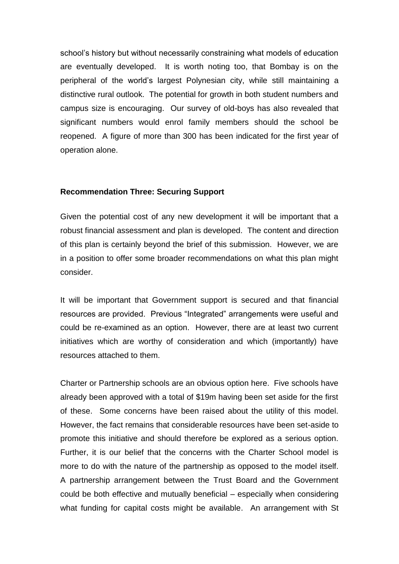school"s history but without necessarily constraining what models of education are eventually developed. It is worth noting too, that Bombay is on the peripheral of the world"s largest Polynesian city, while still maintaining a distinctive rural outlook. The potential for growth in both student numbers and campus size is encouraging. Our survey of old-boys has also revealed that significant numbers would enrol family members should the school be reopened. A figure of more than 300 has been indicated for the first year of operation alone.

#### <span id="page-22-0"></span>**Recommendation Three: Securing Support**

Given the potential cost of any new development it will be important that a robust financial assessment and plan is developed. The content and direction of this plan is certainly beyond the brief of this submission. However, we are in a position to offer some broader recommendations on what this plan might consider.

It will be important that Government support is secured and that financial resources are provided. Previous "Integrated" arrangements were useful and could be re-examined as an option. However, there are at least two current initiatives which are worthy of consideration and which (importantly) have resources attached to them.

Charter or Partnership schools are an obvious option here. Five schools have already been approved with a total of \$19m having been set aside for the first of these. Some concerns have been raised about the utility of this model. However, the fact remains that considerable resources have been set-aside to promote this initiative and should therefore be explored as a serious option. Further, it is our belief that the concerns with the Charter School model is more to do with the nature of the partnership as opposed to the model itself. A partnership arrangement between the Trust Board and the Government could be both effective and mutually beneficial – especially when considering what funding for capital costs might be available. An arrangement with St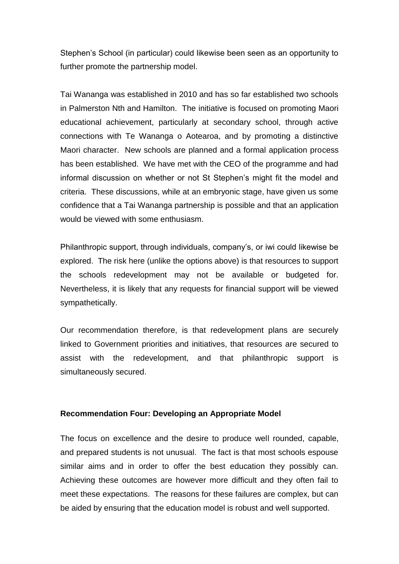Stephen"s School (in particular) could likewise been seen as an opportunity to further promote the partnership model.

Tai Wananga was established in 2010 and has so far established two schools in Palmerston Nth and Hamilton. The initiative is focused on promoting Maori educational achievement, particularly at secondary school, through active connections with Te Wananga o Aotearoa, and by promoting a distinctive Maori character. New schools are planned and a formal application process has been established. We have met with the CEO of the programme and had informal discussion on whether or not St Stephen"s might fit the model and criteria. These discussions, while at an embryonic stage, have given us some confidence that a Tai Wananga partnership is possible and that an application would be viewed with some enthusiasm.

Philanthropic support, through individuals, company"s, or iwi could likewise be explored. The risk here (unlike the options above) is that resources to support the schools redevelopment may not be available or budgeted for. Nevertheless, it is likely that any requests for financial support will be viewed sympathetically.

Our recommendation therefore, is that redevelopment plans are securely linked to Government priorities and initiatives, that resources are secured to assist with the redevelopment, and that philanthropic support is simultaneously secured.

#### <span id="page-23-0"></span>**Recommendation Four: Developing an Appropriate Model**

The focus on excellence and the desire to produce well rounded, capable, and prepared students is not unusual. The fact is that most schools espouse similar aims and in order to offer the best education they possibly can. Achieving these outcomes are however more difficult and they often fail to meet these expectations. The reasons for these failures are complex, but can be aided by ensuring that the education model is robust and well supported.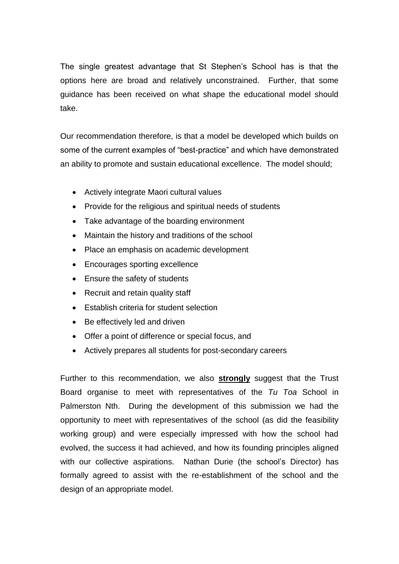The single greatest advantage that St Stephen"s School has is that the options here are broad and relatively unconstrained. Further, that some guidance has been received on what shape the educational model should take.

Our recommendation therefore, is that a model be developed which builds on some of the current examples of "best-practice" and which have demonstrated an ability to promote and sustain educational excellence. The model should;

- Actively integrate Maori cultural values
- Provide for the religious and spiritual needs of students
- Take advantage of the boarding environment
- Maintain the history and traditions of the school
- Place an emphasis on academic development
- Encourages sporting excellence
- Ensure the safety of students
- Recruit and retain quality staff
- Establish criteria for student selection
- Be effectively led and driven
- Offer a point of difference or special focus, and
- Actively prepares all students for post-secondary careers

Further to this recommendation, we also **strongly** suggest that the Trust Board organise to meet with representatives of the *Tu Toa* School in Palmerston Nth. During the development of this submission we had the opportunity to meet with representatives of the school (as did the feasibility working group) and were especially impressed with how the school had evolved, the success it had achieved, and how its founding principles aligned with our collective aspirations. Nathan Durie (the school's Director) has formally agreed to assist with the re-establishment of the school and the design of an appropriate model.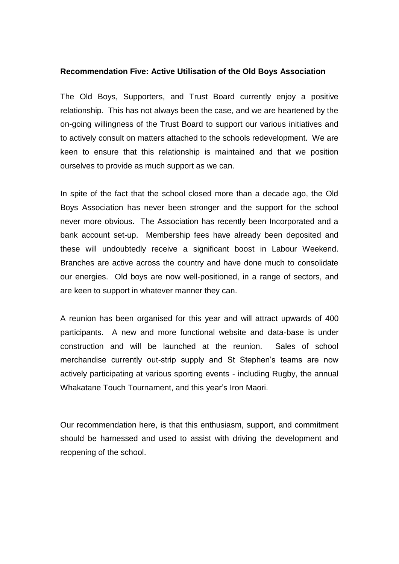#### <span id="page-25-0"></span>**Recommendation Five: Active Utilisation of the Old Boys Association**

The Old Boys, Supporters, and Trust Board currently enjoy a positive relationship. This has not always been the case, and we are heartened by the on-going willingness of the Trust Board to support our various initiatives and to actively consult on matters attached to the schools redevelopment. We are keen to ensure that this relationship is maintained and that we position ourselves to provide as much support as we can.

In spite of the fact that the school closed more than a decade ago, the Old Boys Association has never been stronger and the support for the school never more obvious. The Association has recently been Incorporated and a bank account set-up. Membership fees have already been deposited and these will undoubtedly receive a significant boost in Labour Weekend. Branches are active across the country and have done much to consolidate our energies. Old boys are now well-positioned, in a range of sectors, and are keen to support in whatever manner they can.

A reunion has been organised for this year and will attract upwards of 400 participants. A new and more functional website and data-base is under construction and will be launched at the reunion. Sales of school merchandise currently out-strip supply and St Stephen"s teams are now actively participating at various sporting events - including Rugby, the annual Whakatane Touch Tournament, and this year"s Iron Maori.

Our recommendation here, is that this enthusiasm, support, and commitment should be harnessed and used to assist with driving the development and reopening of the school.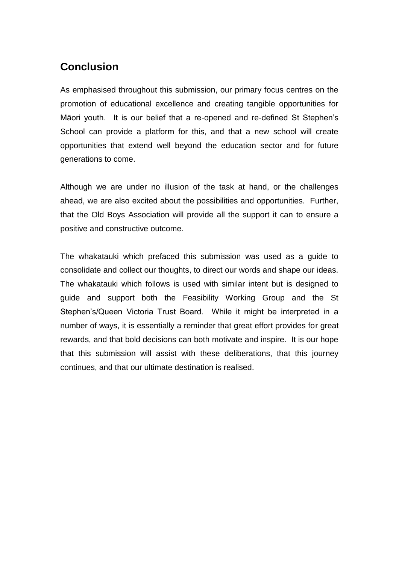# <span id="page-26-0"></span>**Conclusion**

As emphasised throughout this submission, our primary focus centres on the promotion of educational excellence and creating tangible opportunities for Māori youth. It is our belief that a re-opened and re-defined St Stephen"s School can provide a platform for this, and that a new school will create opportunities that extend well beyond the education sector and for future generations to come.

Although we are under no illusion of the task at hand, or the challenges ahead, we are also excited about the possibilities and opportunities. Further, that the Old Boys Association will provide all the support it can to ensure a positive and constructive outcome.

The whakatauki which prefaced this submission was used as a guide to consolidate and collect our thoughts, to direct our words and shape our ideas. The whakatauki which follows is used with similar intent but is designed to guide and support both the Feasibility Working Group and the St Stephen"s/Queen Victoria Trust Board. While it might be interpreted in a number of ways, it is essentially a reminder that great effort provides for great rewards, and that bold decisions can both motivate and inspire. It is our hope that this submission will assist with these deliberations, that this journey continues, and that our ultimate destination is realised.